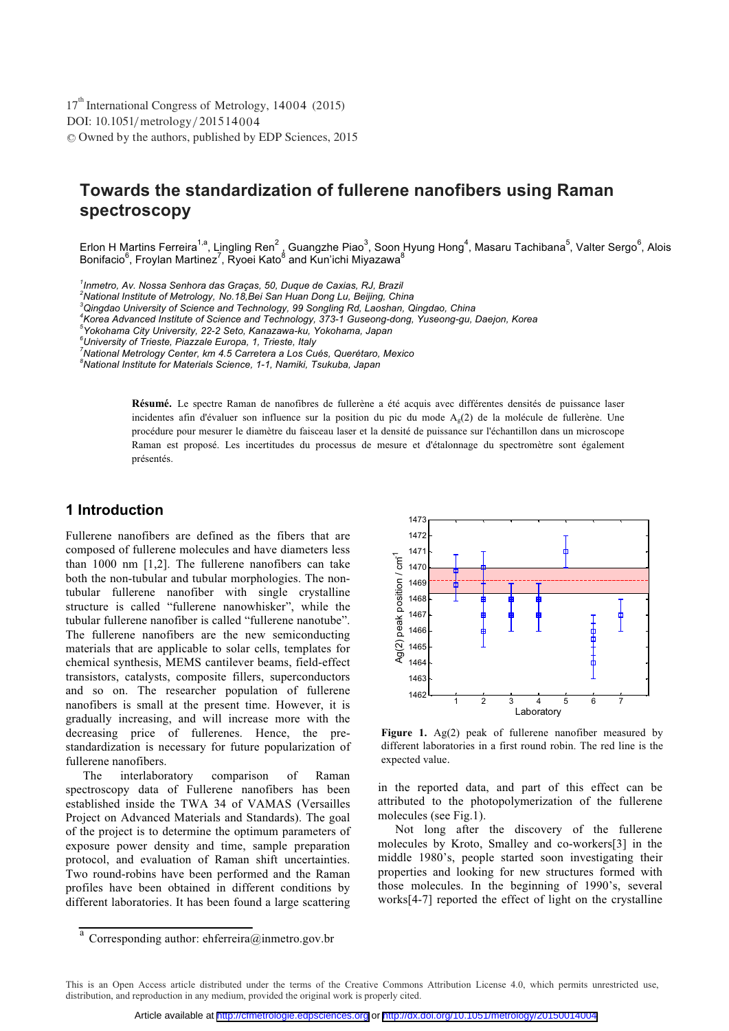DOI: 10.1051/ metrology/2015 1 400 4 -<sup>C</sup> Owned by the authors, published by EDP Sciences, 2015 17<sup>th</sup> International Congress of Metrology, 14004 (2015)

# **Towards the standardization of fullerene nanofibers using Raman spectroscopy**

Erlon H Martins Ferreira<sup>1,a</sup>, Lingling Ren<sup>2</sup> , Guangzhe Piao<sup>3</sup>, Soon Hyung Hong<sup>4</sup>, Masaru Tachibana<sup>5</sup>, Valter Sergo<sup>6</sup>, Alois<br>Bonifacio<sup>6</sup>, Froylan Martinez<sup>7</sup>, Ryoei Kato<sup>8</sup> and Kun'ichi Miyazawa<sup>8</sup>

*1 Inmetro, Av. Nossa Senhora das Graças, 50, Duque de Caxias, RJ, Brazil* 

*2 National Institute of Metrology, No.18,Bei San Huan Dong Lu, Beijing, China 3*

*Qingdao University of Science and Technology, 99 Songling Rd, Laoshan, Qingdao, China 4*

*Korea Advanced Institute of Science and Technology, 373-1 Guseong-dong, Yuseong-gu, Daejon, Korea 5*

*Yokohama City University, 22-2 Seto, Kanazawa-ku, Yokohama, Japan 6*

*University of Trieste, Piazzale Europa, 1, Trieste, Italy 7*

*National Metrology Center, km 4.5 Carretera a Los Cués, Querétaro, Mexico 8*

*National Institute for Materials Science, 1-1, Namiki, Tsukuba, Japan* 

Résumé. Le spectre Raman de nanofibres de fullerène a été acquis avec différentes densités de puissance laser incidentes afin d'évaluer son influence sur la position du pic du mode  $A_g(2)$  de la molécule de fullerène. Une procédure pour mesurer le diamètre du faisceau laser et la densité de puissance sur l'échantillon dans un microscope Raman est proposé. Les incertitudes du processus de mesure et d'étalonnage du spectromètre sont également présentés.

# **1 Introduction**

Fullerene nanofibers are defined as the fibers that are composed of fullerene molecules and have diameters less than 1000 nm [1,2]. The fullerene nanofibers can take both the non-tubular and tubular morphologies. The nontubular fullerene nanofiber with single crystalline structure is called "fullerene nanowhisker", while the tubular fullerene nanofiber is called "fullerene nanotube". The fullerene nanofibers are the new semiconducting materials that are applicable to solar cells, templates for chemical synthesis, MEMS cantilever beams, field-effect transistors, catalysts, composite fillers, superconductors and so on. The researcher population of fullerene nanofibers is small at the present time. However, it is gradually increasing, and will increase more with the decreasing price of fullerenes. Hence, the prestandardization is necessary for future popularization of fullerene nanofibers.

The interlaboratory comparison of Raman spectroscopy data of Fullerene nanofibers has been established inside the TWA 34 of VAMAS (Versailles Project on Advanced Materials and Standards). The goal of the project is to determine the optimum parameters of exposure power density and time, sample preparation protocol, and evaluation of Raman shift uncertainties. Two round-robins have been performed and the Raman profiles have been obtained in different conditions by different laboratories. It has been found a large scattering



Figure 1. Ag(2) peak of fullerene nanofiber measured by different laboratories in a first round robin. The red line is the expected value.

in the reported data, and part of this effect can be attributed to the photopolymerization of the fullerene molecules (see Fig.1).

Not long after the discovery of the fullerene molecules by Kroto, Smalley and co-workers[3] in the middle 1980's, people started soon investigating their properties and looking for new structures formed with those molecules. In the beginning of 1990's, several works[4-7] reported the effect of light on the crystalline

 $\overline{a}$  Corresponding author: ehferreira@inmetro.gov.br

This is an Open Access article distributed under the terms of the Creative Commons Attribution License 4.0, which permits unrestricted use, distribution, and reproduction in any medium, provided the original work is properly cited.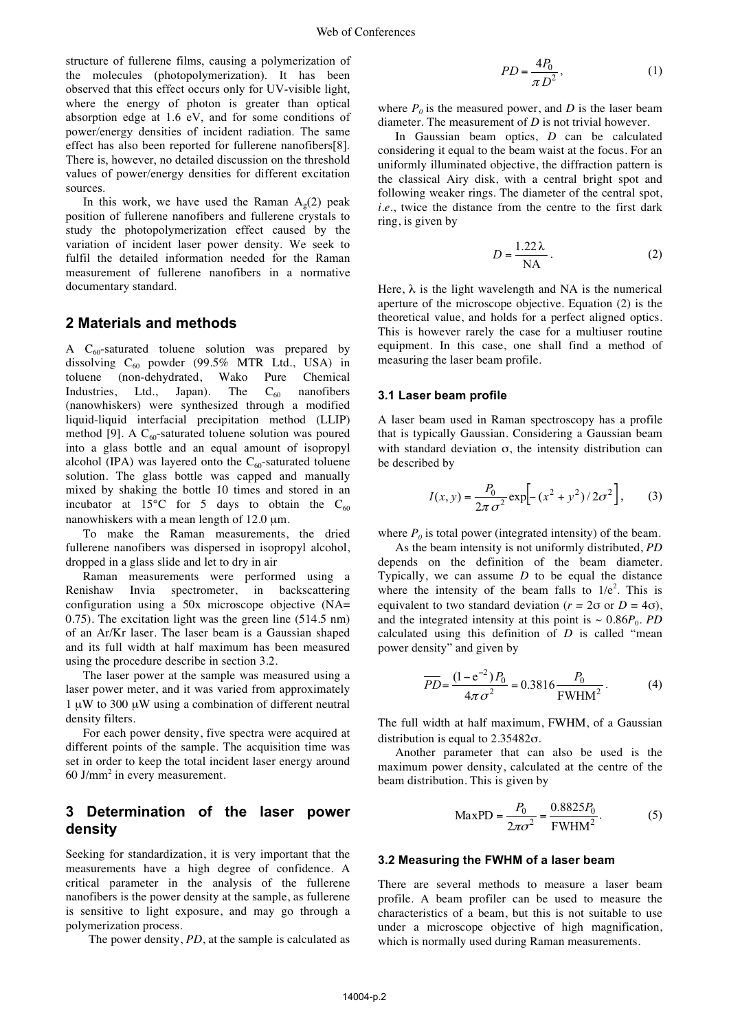structure of fullerene films, causing a polymerization of the molecules (photopolymerization). It has been observed that this effect occurs only for UV-visible light, where the energy of photon is greater than optical absorption edge at 1.6 eV, and for some conditions of power/energy densities of incident radiation. The same effect has also been reported for fullerene nanofibers[8]. There is, however, no detailed discussion on the threshold values of power/energy densities for different excitation sources.

In this work, we have used the Raman  $A_{\varphi}(2)$  peak position of fullerene nanofibers and fullerene crystals to study the photopolymerization effect caused by the variation of incident laser power density. We seek to fulfil the detailed information needed for the Raman measurement of fullerene nanofibers in a normative documentary standard.

### **2 Materials and methods**

A  $C_{60}$ -saturated toluene solution was prepared by dissolving  $C_{60}$  powder (99.5% MTR Ltd., USA) in toluene (non-dehydrated, Wako Pure Chemical Industries, Ltd., Japan). The  $C_{60}$  nanofibers (nanowhiskers) were synthesized through a modified liquid-liquid interfacial precipitation method (LLIP) method [9]. A  $C_{60}$ -saturated toluene solution was poured into a glass bottle and an equal amount of isopropyl alcohol (IPA) was layered onto the  $C_{60}$ -saturated toluene solution. The glass bottle was capped and manually mixed by shaking the bottle 10 times and stored in an incubator at 15 $^{\circ}$ C for 5 days to obtain the C<sub>60</sub> nanowhiskers with a mean length of 12.0 μm.

To make the Raman measurements, the dried fullerene nanofibers was dispersed in isopropyl alcohol, dropped in a glass slide and let to dry in air

Raman measurements were performed using a Renishaw Invia spectrometer, in backscattering configuration using a 50x microscope objective (NA= 0.75). The excitation light was the green line (514.5 nm) of an Ar/Kr laser. The laser beam is a Gaussian shaped and its full width at half maximum has been measured using the procedure describe in section 3.2.

The laser power at the sample was measured using a laser power meter, and it was varied from approximately 1 μW to 300 μW using a combination of different neutral density filters.

For each power density, five spectra were acquired at different points of the sample. The acquisition time was set in order to keep the total incident laser energy around 60 J/mm<sup>2</sup> in every measurement.

## **3 Determination of the laser power density**

Seeking for standardization, it is very important that the measurements have a high degree of confidence. A critical parameter in the analysis of the fullerene nanofibers is the power density at the sample, as fullerene is sensitive to light exposure, and may go through a polymerization process.

The power density, *PD*, at the sample is calculated as

$$
PD = \frac{4P_0}{\pi D^2},\tag{1}
$$

where  $P_0$  is the measured power, and *D* is the laser beam diameter. The measurement of *D* is not trivial however.

In Gaussian beam optics, *D* can be calculated considering it equal to the beam waist at the focus. For an uniformly illuminated objective, the diffraction pattern is the classical Airy disk, with a central bright spot and following weaker rings. The diameter of the central spot, *i.e.*, twice the distance from the centre to the first dark ring, is given by

$$
D = \frac{1.22\lambda}{NA}.
$$
 (2)

Here,  $\lambda$  is the light wavelength and NA is the numerical aperture of the microscope objective. Equation (2) is the theoretical value, and holds for a perfect aligned optics. This is however rarely the case for a multiuser routine equipment. In this case, one shall find a method of measuring the laser beam profile.

### **3.1 Laser beam profile**

A laser beam used in Raman spectroscopy has a profile that is typically Gaussian. Considering a Gaussian beam with standard deviation σ, the intensity distribution can be described by

$$
I(x, y) = \frac{P_0}{2\pi \sigma^2} \exp\left[-\left(x^2 + y^2\right)/2\sigma^2\right],
$$
 (3)

where  $P_0$  is total power (integrated intensity) of the beam.

As the beam intensity is not uniformly distributed, *PD* depends on the definition of the beam diameter. Typically, we can assume *D* to be equal the distance where the intensity of the beam falls to  $1/e^2$ . This is equivalent to two standard deviation ( $r = 2\sigma$  or  $D = 4\sigma$ ), and the integrated intensity at this point is  $\sim 0.86P_0$ . *PD* calculated using this definition of *D* is called "mean power density" and given by

$$
\overline{PD} = \frac{(1 - e^{-2})P_0}{4\pi\sigma^2} = 0.3816 \frac{P_0}{FWHM^2}.
$$
 (4)

The full width at half maximum, FWHM, of a Gaussian distribution is equal to 2.35482σ.

Another parameter that can also be used is the maximum power density, calculated at the centre of the beam distribution. This is given by

$$
MaxPD = \frac{P_0}{2\pi\sigma^2} = \frac{0.8825P_0}{FWHM^2}.
$$
 (5)

#### **3.2 Measuring the FWHM of a laser beam**

There are several methods to measure a laser beam profile. A beam profiler can be used to measure the characteristics of a beam, but this is not suitable to use under a microscope objective of high magnification, which is normally used during Raman measurements.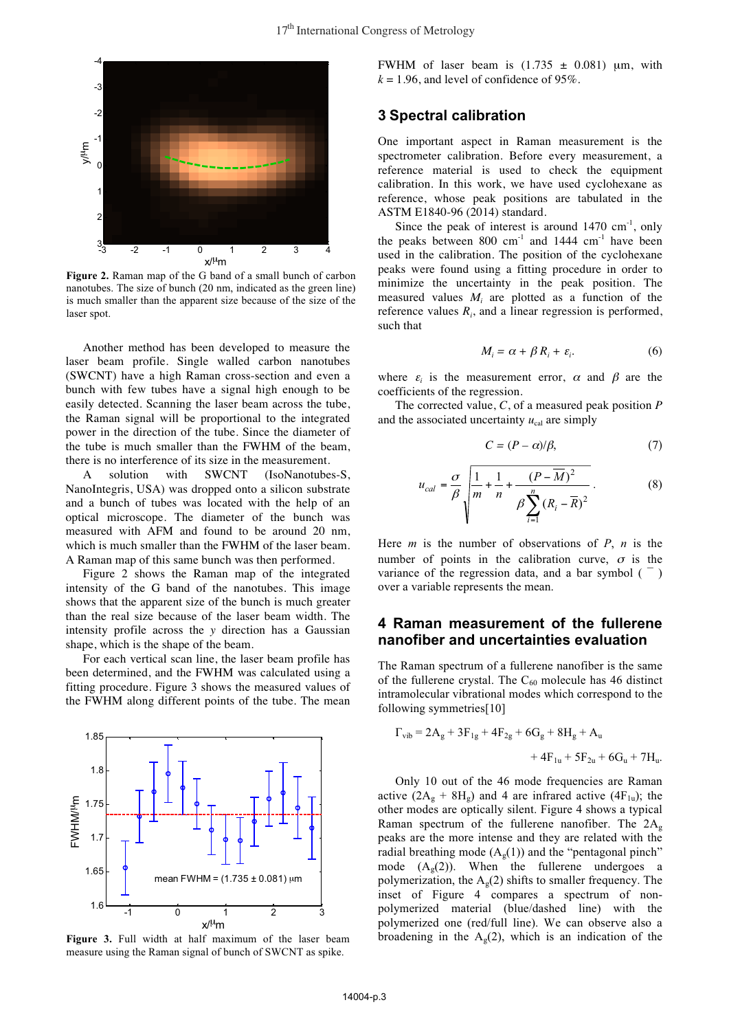

Figure 2. Raman map of the G band of a small bunch of carbon nanotubes. The size of bunch (20 nm, indicated as the green line) is much smaller than the apparent size because of the size of the laser spot.

Another method has been developed to measure the laser beam profile. Single walled carbon nanotubes (SWCNT) have a high Raman cross-section and even a bunch with few tubes have a signal high enough to be easily detected. Scanning the laser beam across the tube, the Raman signal will be proportional to the integrated power in the direction of the tube. Since the diameter of the tube is much smaller than the FWHM of the beam, there is no interference of its size in the measurement.

A solution with SWCNT (IsoNanotubes-S, NanoIntegris, USA) was dropped onto a silicon substrate and a bunch of tubes was located with the help of an optical microscope. The diameter of the bunch was measured with AFM and found to be around 20 nm, which is much smaller than the FWHM of the laser beam. A Raman map of this same bunch was then performed.

Figure 2 shows the Raman map of the integrated intensity of the G band of the nanotubes. This image shows that the apparent size of the bunch is much greater than the real size because of the laser beam width. The intensity profile across the *y* direction has a Gaussian shape, which is the shape of the beam.

For each vertical scan line, the laser beam profile has been determined, and the FWHM was calculated using a fitting procedure. Figure 3 shows the measured values of the FWHM along different points of the tube. The mean



**Figure 3.** Full width at half maximum of the laser beam measure using the Raman signal of bunch of SWCNT as spike.

FWHM of laser beam is  $(1.735 \pm 0.081)$  μm, with  $k = 1.96$ , and level of confidence of 95%.

## **3 Spectral calibration**

One important aspect in Raman measurement is the spectrometer calibration. Before every measurement, a reference material is used to check the equipment calibration. In this work, we have used cyclohexane as reference, whose peak positions are tabulated in the ASTM E1840-96 (2014) standard.

Since the peak of interest is around  $1470 \text{ cm}^{-1}$ , only the peaks between 800 cm<sup>-1</sup> and 1444 cm<sup>-1</sup> have been used in the calibration. The position of the cyclohexane peaks were found using a fitting procedure in order to minimize the uncertainty in the peak position. The measured values  $M_i$  are plotted as a function of the reference values  $R_i$ , and a linear regression is performed, such that

$$
M_i = \alpha + \beta R_i + \varepsilon_i. \tag{6}
$$

where  $\varepsilon_i$  is the measurement error,  $\alpha$  and  $\beta$  are the coefficients of the regression.

The corrected value, *C*, of a measured peak position *P*  and the associated uncertainty  $u_{\text{cal}}$  are simply

$$
C = (P - \alpha)/\beta,\tag{7}
$$

$$
u_{cal} = \frac{\sigma}{\beta} \sqrt{\frac{1}{m} + \frac{1}{n} + \frac{(P - \overline{M})^2}{\beta \sum_{i=1}^{n} (R_i - \overline{R})^2}}.
$$
 (8)

Here *m* is the number of observations of *P*, *n* is the number of points in the calibration curve,  $\sigma$  is the variance of the regression data, and a bar symbol  $($ <sup> $-$ </sup>) over a variable represents the mean.

# **4 Raman measurement of the fullerene nanofiber and uncertainties evaluation**

The Raman spectrum of a fullerene nanofiber is the same of the fullerene crystal. The  $C_{60}$  molecule has 46 distinct intramolecular vibrational modes which correspond to the following symmetries[10]

$$
\Gamma_{vib} = 2A_g + 3F_{1g} + 4F_{2g} + 6G_g + 8H_g + A_u
$$
  
+ 4F<sub>1u</sub> + 5F<sub>2u</sub> + 6G<sub>u</sub> + 7H<sub>u</sub>.

Only 10 out of the 46 mode frequencies are Raman active  $(2A_g + 8H_g)$  and 4 are infrared active  $(4F_{1u})$ ; the other modes are optically silent. Figure 4 shows a typical Raman spectrum of the fullerene nanofiber. The  $2A_g$ peaks are the more intense and they are related with the radial breathing mode  $(A_g(1))$  and the "pentagonal pinch" mode  $(A<sub>g</sub>(2))$ . When the fullerene undergoes a polymerization, the  $A_g(2)$  shifts to smaller frequency. The inset of Figure 4 compares a spectrum of nonpolymerized material (blue/dashed line) with the polymerized one (red/full line). We can observe also a broadening in the  $A_g(2)$ , which is an indication of the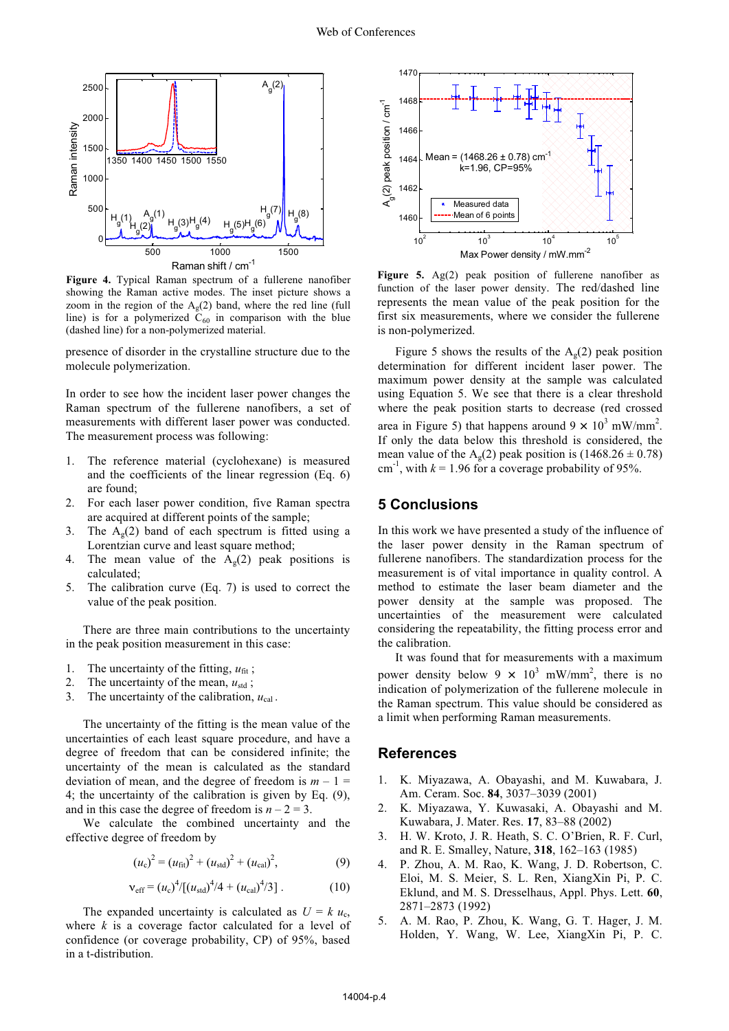

**Figure 4.** Typical Raman spectrum of a fullerene nanofiber showing the Raman active modes. The inset picture shows a zoom in the region of the  $A<sub>o</sub>(2)$  band, where the red line (full line) is for a polymerized  $C_{60}$  in comparison with the blue (dashed line) for a non-polymerized material.

presence of disorder in the crystalline structure due to the molecule polymerization.

In order to see how the incident laser power changes the Raman spectrum of the fullerene nanofibers, a set of measurements with different laser power was conducted. The measurement process was following:

- 1. The reference material (cyclohexane) is measured and the coefficients of the linear regression (Eq. 6) are found;
- 2. For each laser power condition, five Raman spectra are acquired at different points of the sample;
- 3. The  $A<sub>p</sub>(2)$  band of each spectrum is fitted using a Lorentzian curve and least square method;
- The mean value of the  $A_g(2)$  peak positions is calculated;
- 5. The calibration curve (Eq. 7) is used to correct the value of the peak position.

There are three main contributions to the uncertainty in the peak position measurement in this case:

- 1. The uncertainty of the fitting,  $u_{\text{fit}}$ ;
- 2. The uncertainty of the mean,  $u_{\text{std}}$ ;
- 3. The uncertainty of the calibration,  $u_{\text{cal}}$ .

The uncertainty of the fitting is the mean value of the uncertainties of each least square procedure, and have a degree of freedom that can be considered infinite; the uncertainty of the mean is calculated as the standard deviation of mean, and the degree of freedom is  $m - 1 =$ 4; the uncertainty of the calibration is given by Eq. (9), and in this case the degree of freedom is  $n - 2 = 3$ .

We calculate the combined uncertainty and the effective degree of freedom by

$$
(u_{\rm c})^2 = (u_{\rm fit})^2 + (u_{\rm std})^2 + (u_{\rm cal})^2, \tag{9}
$$

$$
v_{\rm eff} = (u_{\rm c})^4 / [(u_{\rm std})^4 / 4 + (u_{\rm cal})^4 / 3]. \tag{10}
$$

The expanded uncertainty is calculated as  $U = k u_c$ , where *k* is a coverage factor calculated for a level of confidence (or coverage probability, CP) of 95%, based in a t-distribution.



**Figure 5.** Ag(2) peak position of fullerene nanofiber as function of the laser power density. The red/dashed line represents the mean value of the peak position for the first six measurements, where we consider the fullerene is non-polymerized.

Figure 5 shows the results of the  $A<sub>g</sub>(2)$  peak position determination for different incident laser power. The maximum power density at the sample was calculated using Equation 5. We see that there is a clear threshold where the peak position starts to decrease (red crossed area in Figure 5) that happens around  $9 \times 10^3$  mW/mm<sup>2</sup>. If only the data below this threshold is considered, the mean value of the  $A<sub>p</sub>(2)$  peak position is (1468.26  $\pm$  0.78) cm<sup>-1</sup>, with  $k = 1.96$  for a coverage probability of 95%.

### **5 Conclusions**

In this work we have presented a study of the influence of the laser power density in the Raman spectrum of fullerene nanofibers. The standardization process for the measurement is of vital importance in quality control. A method to estimate the laser beam diameter and the power density at the sample was proposed. The uncertainties of the measurement were calculated considering the repeatability, the fitting process error and the calibration.

It was found that for measurements with a maximum power density below  $9 \times 10^3$  mW/mm<sup>2</sup>, there is no indication of polymerization of the fullerene molecule in the Raman spectrum. This value should be considered as a limit when performing Raman measurements.

### **References**

- 1. K. Miyazawa, A. Obayashi, and M. Kuwabara, J. Am. Ceram. Soc. **84**, 3037–3039 (2001)
- 2. K. Miyazawa, Y. Kuwasaki, A. Obayashi and M. Kuwabara, J. Mater. Res. **17**, 83–88 (2002)
- 3. H. W. Kroto, J. R. Heath, S. C. O'Brien, R. F. Curl, and R. E. Smalley, Nature, **318**, 162–163 (1985)
- 4. P. Zhou, A. M. Rao, K. Wang, J. D. Robertson, C. Eloi, M. S. Meier, S. L. Ren, XiangXin Pi, P. C. Eklund, and M. S. Dresselhaus, Appl. Phys. Lett. **60**, 2871–2873 (1992)
- 5. A. M. Rao, P. Zhou, K. Wang, G. T. Hager, J. M. Holden, Y. Wang, W. Lee, XiangXin Pi, P. C.